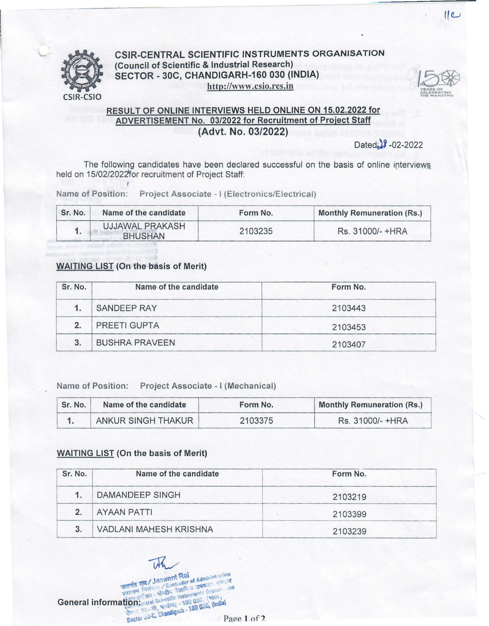

## CSIR-CENTRAL SCIENTIFIC INSTRUMENTS ORGANISATION (Council of Scientific & Industrial Research) SECTOR - 30C, CHANDIGARH-160 030 (INDIA) http://www.csio.res.in



 $11<sup>°</sup>$ 

## RESULT OF ONLINE INTERVIEWS HELD ONLINE ON 15.02.2022 for ADVERTISEMENT No. 03/2022 for Recruitment of Project Staff (Advt. No. 03/2022)

 $Dated_2$  -02-2022

The following candidates have been declared successful on the basis of online interviews held on 15/02/2022 for recruitment of Project Staff:

Name of Position: Project Associate - I (Electronics/Electrical)

| Sr. No. | Name of the candidate             | Form No. | <b>Monthly Remuneration (Rs.)</b> |
|---------|-----------------------------------|----------|-----------------------------------|
|         | UJJAWAL PRAKASH<br><b>BHUSHAN</b> | 2103235  | Rs. 31000/- +HRA                  |

## WAITING LIST (On the basis of Merit)

| Sr. No. | Name of the candidate | Form No. |
|---------|-----------------------|----------|
|         | SANDEEP RAY           | 2103443  |
| 2.      | PREETI GUPTA          | 2103453  |
| 3.      | <b>BUSHRA PRAVEEN</b> | 2103407  |

Name of Position: Project Associate - I (Mechanical)

| Sr. No. | Name of the candidate | Form No. | <b>Monthly Remuneration (Rs.)</b> |
|---------|-----------------------|----------|-----------------------------------|
|         | ANKUR SINGH THAKUR    | 2103375  | Rs. 31000/- +HRA                  |

## WAITING LIST (On the basis of Merit)

| Sr. No. | Name of the candidate         | Form No. |
|---------|-------------------------------|----------|
|         | DAMANDEEP SINGH               | 2103219  |
|         | <b>AYAAN PATTI</b>            | 2103399  |
|         | <b>VADLANI MAHESH KRISHNA</b> | 2103239  |